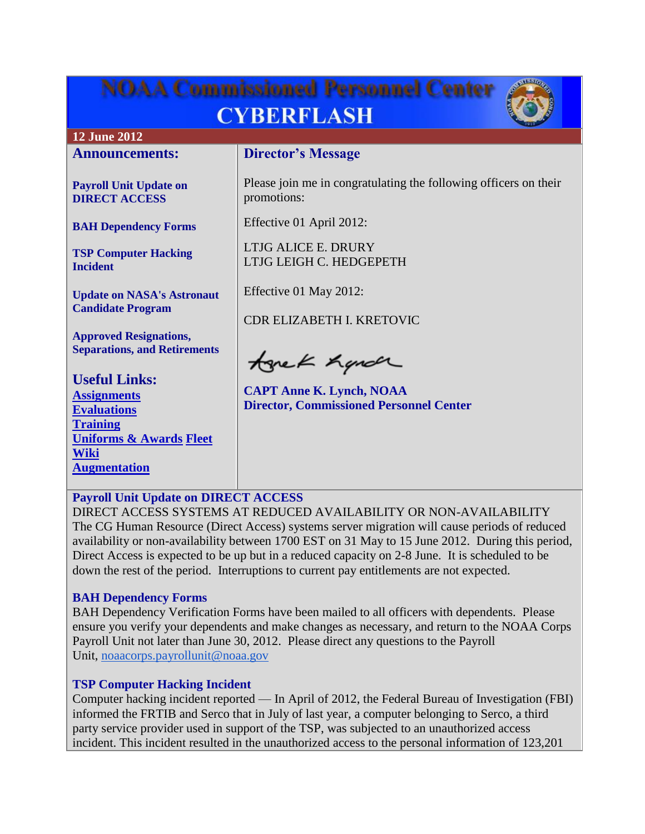# **NOAA Commissioned Personnel Center CYBERFLASH**



#### **12 June 2012**

#### **Announcements:**

**[Payroll Unit Update on](#page-0-0)  [DIRECT ACCESS](#page-0-0)**

**[BAH Dependency Forms](#page-0-1)**

**[TSP Computer Hacking](#page-0-2)  [Incident](#page-0-2)**

**[Update on NASA's Astronaut](#page-1-0)  [Candidate Program](#page-1-0)**

**[Approved Resignations,](#page-1-1)  [Separations, and Retirements](#page-1-1)**

**Useful Links: [Assignments](http://www.corpscpc.noaa.gov/careermgmt/assignments.html) [Evaluations](http://www.corpscpc.noaa.gov/careermgmt/evaluation.html) [Training](http://www.corpscpc.noaa.gov/careermgmt/training.html) [Uniforms & Awards](http://www.corpscpc.noaa.gov/perservices/awards.html) [Fleet](https://www.st.nmfs.noaa.gov/confluence/display/FleetWiki/Home)  [Wiki](https://www.st.nmfs.noaa.gov/confluence/display/FleetWiki/Home) [Augmentation](http://www.corpscpc.noaa.gov/cpchome/augmentation.html)**

# **Director's Message**

Please join me in congratulating the following officers on their promotions:

Effective 01 April 2012:

LTJG ALICE E. DRURY LTJG LEIGH C. HEDGEPETH

Effective 01 May 2012:

CDR ELIZABETH I. KRETOVIC

tonek hande

**CAPT Anne K. Lynch, NOAA Director, Commissioned Personnel Center**

## <span id="page-0-0"></span>**Payroll Unit Update on DIRECT ACCESS**

DIRECT ACCESS SYSTEMS AT REDUCED AVAILABILITY OR NON-AVAILABILITY The CG Human Resource (Direct Access) systems server migration will cause periods of reduced availability or non-availability between 1700 EST on 31 May to 15 June 2012. During this period, Direct Access is expected to be up but in a reduced capacity on 2-8 June. It is scheduled to be down the rest of the period. Interruptions to current pay entitlements are not expected.

## <span id="page-0-1"></span>**BAH Dependency Forms**

BAH Dependency Verification Forms have been mailed to all officers with dependents. Please ensure you verify your dependents and make changes as necessary, and return to the NOAA Corps Payroll Unit not later than June 30, 2012. Please direct any questions to the Payroll Unit, [noaacorps.payrollunit@noaa.gov](mailto:noaacorps.payrollunit@noaa.gov)

## <span id="page-0-2"></span>**TSP Computer Hacking Incident**

Computer hacking incident reported — In April of 2012, the Federal Bureau of Investigation (FBI) informed the FRTIB and Serco that in July of last year, a computer belonging to Serco, a third party service provider used in support of the TSP, was subjected to an unauthorized access incident. This incident resulted in the unauthorized access to the personal information of 123,201